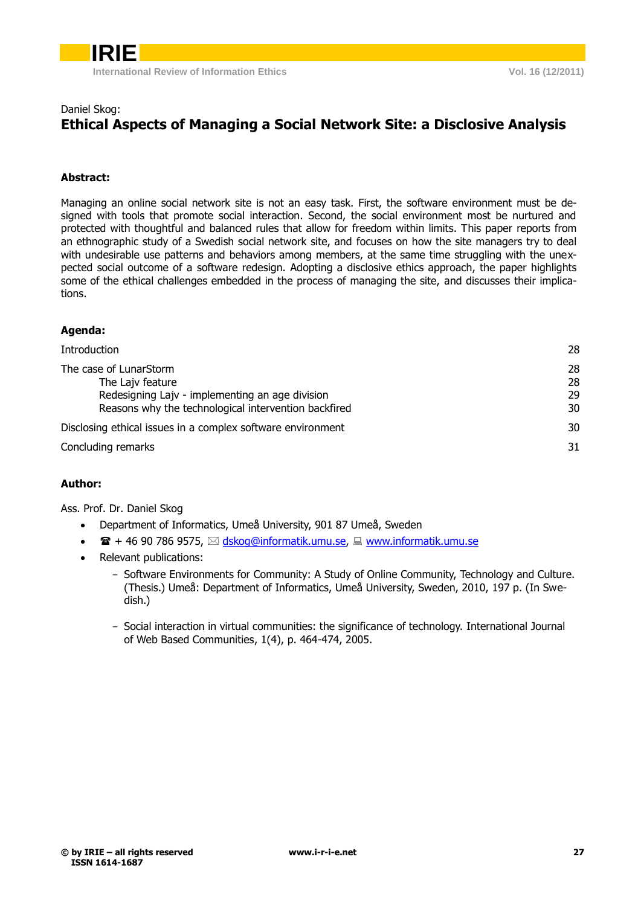

## Daniel Skog:

# **Ethical Aspects of Managing a Social Network Site: a Disclosive Analysis**

## **Abstract:**

Managing an online social network site is not an easy task. First, the software environment must be designed with tools that promote social interaction. Second, the social environment most be nurtured and protected with thoughtful and balanced rules that allow for freedom within limits. This paper reports from an ethnographic study of a Swedish social network site, and focuses on how the site managers try to deal with undesirable use patterns and behaviors among members, at the same time struggling with the unexpected social outcome of a software redesign. Adopting a disclosive ethics approach, the paper highlights some of the ethical challenges embedded in the process of managing the site, and discusses their implications.

## **Agenda:**

| Introduction                                                                                                                                          | 28                   |
|-------------------------------------------------------------------------------------------------------------------------------------------------------|----------------------|
| The case of LunarStorm<br>The Lajv feature<br>Redesigning Lajv - implementing an age division<br>Reasons why the technological intervention backfired | 28<br>28<br>29<br>30 |
| Disclosing ethical issues in a complex software environment                                                                                           | 30                   |
| Concluding remarks                                                                                                                                    | 31                   |

## **Author:**

Ass. Prof. Dr. Daniel Skog

- Department of Informatics, Umeå University, 901 87 Umeå, Sweden
- $\bullet$   $\bullet$   $\bullet$  + 46 90 786 9575,  $\boxtimes$  [dskog@informatik.umu.se,](mailto:dskog@informatik.umu.se)  $\Box$  [www.informatik.umu.se](http://www.informatik.umu.se/)
- <span id="page-0-0"></span>• Relevant publications:
	- Software Environments for Community: A Study of Online Community, Technology and Culture. (Thesis.) Umeå: Department of Informatics, Umeå University, Sweden, 2010, 197 p. (In Swedish.)
	- Social interaction in virtual communities: the significance of technology. International Journal of Web Based Communities, 1(4), p. 464-474, 2005.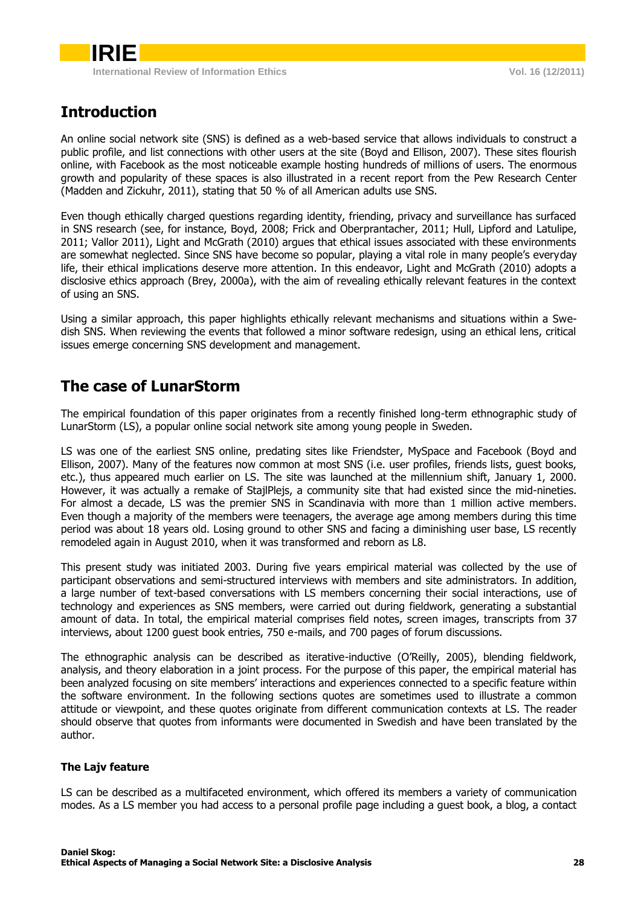# **Introduction**

An online social network site (SNS) is defined as a web-based service that allows individuals to construct a public profile, and list connections with other users at the site (Boyd and Ellison, 2007). These sites flourish online, with Facebook as the most noticeable example hosting hundreds of millions of users. The enormous growth and popularity of these spaces is also illustrated in a recent report from the Pew Research Center (Madden and Zickuhr, 2011), stating that 50 % of all American adults use SNS.

Even though ethically charged questions regarding identity, friending, privacy and surveillance has surfaced in SNS research (see, for instance, Boyd, 2008; Frick and Oberprantacher, 2011; Hull, Lipford and Latulipe, 2011; Vallor 2011), Light and McGrath (2010) argues that ethical issues associated with these environments are somewhat neglected. Since SNS have become so popular, playing a vital role in many people's everyday life, their ethical implications deserve more attention. In this endeavor, Light and McGrath (2010) adopts a disclosive ethics approach (Brey, 2000a), with the aim of revealing ethically relevant features in the context of using an SNS.

Using a similar approach, this paper highlights ethically relevant mechanisms and situations within a Swedish SNS. When reviewing the events that followed a minor software redesign, using an ethical lens, critical issues emerge concerning SNS development and management.

## <span id="page-1-0"></span>**The case of LunarStorm**

The empirical foundation of this paper originates from a recently finished long-term ethnographic study of LunarStorm (LS), a popular online social network site among young people in Sweden.

LS was one of the earliest SNS online, predating sites like Friendster, MySpace and Facebook (Boyd and Ellison, 2007). Many of the features now common at most SNS (i.e. user profiles, friends lists, guest books, etc.), thus appeared much earlier on LS. The site was launched at the millennium shift, January 1, 2000. However, it was actually a remake of StajlPlejs, a community site that had existed since the mid-nineties. For almost a decade, LS was the premier SNS in Scandinavia with more than 1 million active members. Even though a majority of the members were teenagers, the average age among members during this time period was about 18 years old. Losing ground to other SNS and facing a diminishing user base, LS recently remodeled again in August 2010, when it was transformed and reborn as L8.

This present study was initiated 2003. During five years empirical material was collected by the use of participant observations and semi-structured interviews with members and site administrators. In addition, a large number of text-based conversations with LS members concerning their social interactions, use of technology and experiences as SNS members, were carried out during fieldwork, generating a substantial amount of data. In total, the empirical material comprises field notes, screen images, transcripts from 37 interviews, about 1200 guest book entries, 750 e-mails, and 700 pages of forum discussions.

The ethnographic analysis can be described as iterative-inductive (O'Reilly, 2005), blending fieldwork, analysis, and theory elaboration in a joint process. For the purpose of this paper, the empirical material has been analyzed focusing on site members' interactions and experiences connected to a specific feature within the software environment. In the following sections quotes are sometimes used to illustrate a common attitude or viewpoint, and these quotes originate from different communication contexts at LS. The reader should observe that quotes from informants were documented in Swedish and have been translated by the author.

## <span id="page-1-1"></span>**The Lajv feature**

LS can be described as a multifaceted environment, which offered its members a variety of communication modes. As a LS member you had access to a personal profile page including a guest book, a blog, a contact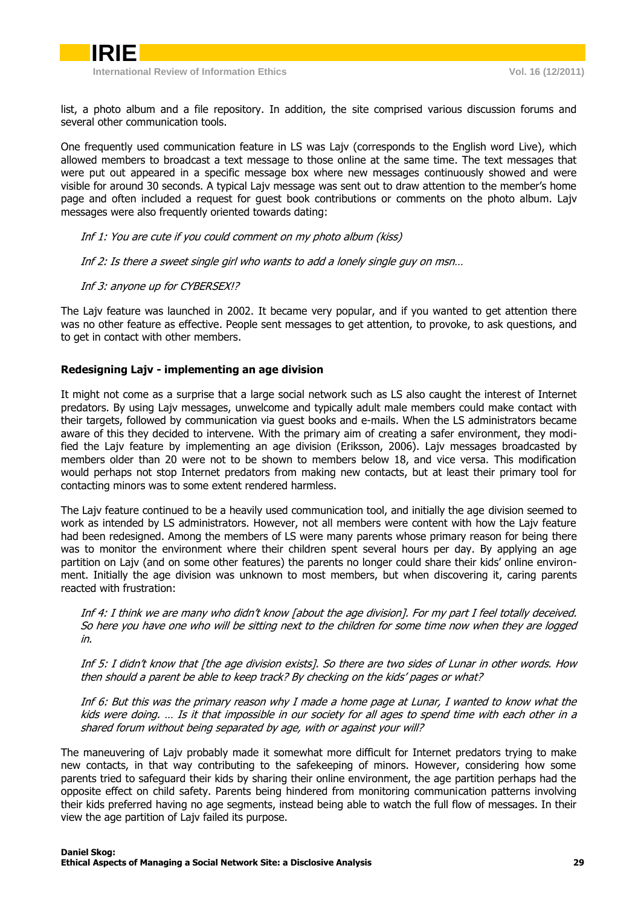

list, a photo album and a file repository. In addition, the site comprised various discussion forums and several other communication tools.

One frequently used communication feature in LS was Lajv (corresponds to the English word Live), which allowed members to broadcast a text message to those online at the same time. The text messages that were put out appeared in a specific message box where new messages continuously showed and were visible for around 30 seconds. A typical Lajv message was sent out to draw attention to the member's home page and often included a request for guest book contributions or comments on the photo album. Lajv messages were also frequently oriented towards dating:

Inf 1: You are cute if you could comment on my photo album (kiss)

Inf 2: Is there a sweet single girl who wants to add a lonely single guy on msn…

Inf 3: anyone up for CYBERSEX!?

The Lajv feature was launched in 2002. It became very popular, and if you wanted to get attention there was no other feature as effective. People sent messages to get attention, to provoke, to ask questions, and to get in contact with other members.

## <span id="page-2-0"></span>**Redesigning Lajv - implementing an age division**

It might not come as a surprise that a large social network such as LS also caught the interest of Internet predators. By using Lajv messages, unwelcome and typically adult male members could make contact with their targets, followed by communication via guest books and e-mails. When the LS administrators became aware of this they decided to intervene. With the primary aim of creating a safer environment, they modified the Lajv feature by implementing an age division (Eriksson, 2006). Lajv messages broadcasted by members older than 20 were not to be shown to members below 18, and vice versa. This modification would perhaps not stop Internet predators from making new contacts, but at least their primary tool for contacting minors was to some extent rendered harmless.

The Lajv feature continued to be a heavily used communication tool, and initially the age division seemed to work as intended by LS administrators. However, not all members were content with how the Lajv feature had been redesigned. Among the members of LS were many parents whose primary reason for being there was to monitor the environment where their children spent several hours per day. By applying an age partition on Lajv (and on some other features) the parents no longer could share their kids' online environment. Initially the age division was unknown to most members, but when discovering it, caring parents reacted with frustration:

Inf 4: I think we are many who didn't know [about the age division]. For my part I feel totally deceived. So here you have one who will be sitting next to the children for some time now when they are logged in.

Inf 5: I didn't know that [the age division exists]. So there are two sides of Lunar in other words. How then should a parent be able to keep track? By checking on the kids' pages or what?

Inf 6: But this was the primary reason why I made a home page at Lunar, I wanted to know what the kids were doing. … Is it that impossible in our society for all ages to spend time with each other in a shared forum without being separated by age, with or against your will?

The maneuvering of Lajv probably made it somewhat more difficult for Internet predators trying to make new contacts, in that way contributing to the safekeeping of minors. However, considering how some parents tried to safeguard their kids by sharing their online environment, the age partition perhaps had the opposite effect on child safety. Parents being hindered from monitoring communication patterns involving their kids preferred having no age segments, instead being able to watch the full flow of messages. In their view the age partition of Lajv failed its purpose.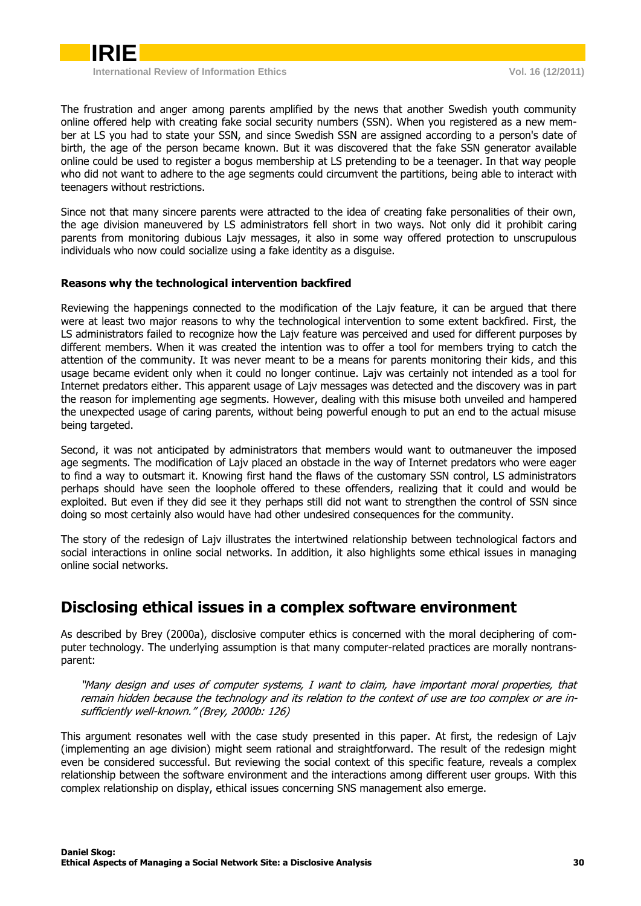

The frustration and anger among parents amplified by the news that another Swedish youth community online offered help with creating fake social security numbers (SSN). When you registered as a new member at LS you had to state your SSN, and since Swedish SSN are assigned according to a person's date of birth, the age of the person became known. But it was discovered that the fake SSN generator available online could be used to register a bogus membership at LS pretending to be a teenager. In that way people who did not want to adhere to the age segments could circumvent the partitions, being able to interact with teenagers without restrictions.

Since not that many sincere parents were attracted to the idea of creating fake personalities of their own, the age division maneuvered by LS administrators fell short in two ways. Not only did it prohibit caring parents from monitoring dubious Lajv messages, it also in some way offered protection to unscrupulous individuals who now could socialize using a fake identity as a disguise.

## <span id="page-3-0"></span>**Reasons why the technological intervention backfired**

Reviewing the happenings connected to the modification of the Lajv feature, it can be argued that there were at least two major reasons to why the technological intervention to some extent backfired. First, the LS administrators failed to recognize how the Lajv feature was perceived and used for different purposes by different members. When it was created the intention was to offer a tool for members trying to catch the attention of the community. It was never meant to be a means for parents monitoring their kids, and this usage became evident only when it could no longer continue. Lajv was certainly not intended as a tool for Internet predators either. This apparent usage of Lajv messages was detected and the discovery was in part the reason for implementing age segments. However, dealing with this misuse both unveiled and hampered the unexpected usage of caring parents, without being powerful enough to put an end to the actual misuse being targeted.

Second, it was not anticipated by administrators that members would want to outmaneuver the imposed age segments. The modification of Lajv placed an obstacle in the way of Internet predators who were eager to find a way to outsmart it. Knowing first hand the flaws of the customary SSN control, LS administrators perhaps should have seen the loophole offered to these offenders, realizing that it could and would be exploited. But even if they did see it they perhaps still did not want to strengthen the control of SSN since doing so most certainly also would have had other undesired consequences for the community.

The story of the redesign of Lajv illustrates the intertwined relationship between technological factors and social interactions in online social networks. In addition, it also highlights some ethical issues in managing online social networks.

## <span id="page-3-1"></span>**Disclosing ethical issues in a complex software environment**

As described by Brey (2000a), disclosive computer ethics is concerned with the moral deciphering of computer technology. The underlying assumption is that many computer-related practices are morally nontransparent:

"Many design and uses of computer systems, I want to claim, have important moral properties, that remain hidden because the technology and its relation to the context of use are too complex or are insufficiently well-known." (Brey, 2000b: 126)

This argument resonates well with the case study presented in this paper. At first, the redesign of Lajv (implementing an age division) might seem rational and straightforward. The result of the redesign might even be considered successful. But reviewing the social context of this specific feature, reveals a complex relationship between the software environment and the interactions among different user groups. With this complex relationship on display, ethical issues concerning SNS management also emerge.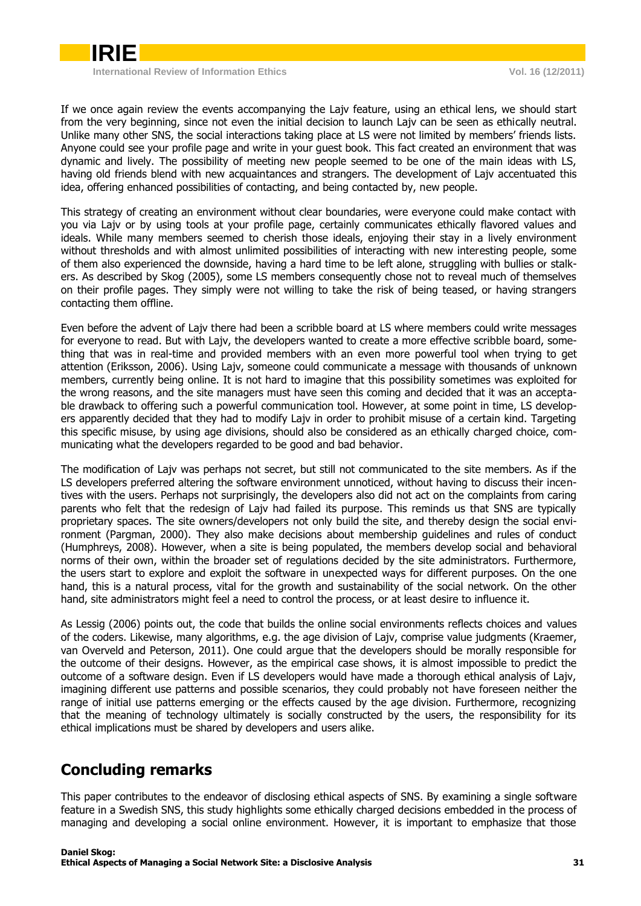

If we once again review the events accompanying the Lajv feature, using an ethical lens, we should start from the very beginning, since not even the initial decision to launch Lajv can be seen as ethically neutral. Unlike many other SNS, the social interactions taking place at LS were not limited by members' friends lists. Anyone could see your profile page and write in your guest book. This fact created an environment that was dynamic and lively. The possibility of meeting new people seemed to be one of the main ideas with LS, having old friends blend with new acquaintances and strangers. The development of Lajv accentuated this idea, offering enhanced possibilities of contacting, and being contacted by, new people.

This strategy of creating an environment without clear boundaries, were everyone could make contact with you via Lajv or by using tools at your profile page, certainly communicates ethically flavored values and ideals. While many members seemed to cherish those ideals, enjoying their stay in a lively environment without thresholds and with almost unlimited possibilities of interacting with new interesting people, some of them also experienced the downside, having a hard time to be left alone, struggling with bullies or stalkers. As described by Skog (2005), some LS members consequently chose not to reveal much of themselves on their profile pages. They simply were not willing to take the risk of being teased, or having strangers contacting them offline.

Even before the advent of Lajv there had been a scribble board at LS where members could write messages for everyone to read. But with Lajv, the developers wanted to create a more effective scribble board, something that was in real-time and provided members with an even more powerful tool when trying to get attention (Eriksson, 2006). Using Lajv, someone could communicate a message with thousands of unknown members, currently being online. It is not hard to imagine that this possibility sometimes was exploited for the wrong reasons, and the site managers must have seen this coming and decided that it was an acceptable drawback to offering such a powerful communication tool. However, at some point in time, LS developers apparently decided that they had to modify Lajv in order to prohibit misuse of a certain kind. Targeting this specific misuse, by using age divisions, should also be considered as an ethically charged choice, communicating what the developers regarded to be good and bad behavior.

The modification of Lajv was perhaps not secret, but still not communicated to the site members. As if the LS developers preferred altering the software environment unnoticed, without having to discuss their incentives with the users. Perhaps not surprisingly, the developers also did not act on the complaints from caring parents who felt that the redesign of Lajv had failed its purpose. This reminds us that SNS are typically proprietary spaces. The site owners/developers not only build the site, and thereby design the social environment (Pargman, 2000). They also make decisions about membership guidelines and rules of conduct (Humphreys, 2008). However, when a site is being populated, the members develop social and behavioral norms of their own, within the broader set of regulations decided by the site administrators. Furthermore, the users start to explore and exploit the software in unexpected ways for different purposes. On the one hand, this is a natural process, vital for the growth and sustainability of the social network. On the other hand, site administrators might feel a need to control the process, or at least desire to influence it.

As Lessig (2006) points out, the code that builds the online social environments reflects choices and values of the coders. Likewise, many algorithms, e.g. the age division of Lajv, comprise value judgments (Kraemer, van Overveld and Peterson, 2011). One could argue that the developers should be morally responsible for the outcome of their designs. However, as the empirical case shows, it is almost impossible to predict the outcome of a software design. Even if LS developers would have made a thorough ethical analysis of Lajv, imagining different use patterns and possible scenarios, they could probably not have foreseen neither the range of initial use patterns emerging or the effects caused by the age division. Furthermore, recognizing that the meaning of technology ultimately is socially constructed by the users, the responsibility for its ethical implications must be shared by developers and users alike.

# <span id="page-4-0"></span>**Concluding remarks**

This paper contributes to the endeavor of disclosing ethical aspects of SNS. By examining a single software feature in a Swedish SNS, this study highlights some ethically charged decisions embedded in the process of managing and developing a social online environment. However, it is important to emphasize that those